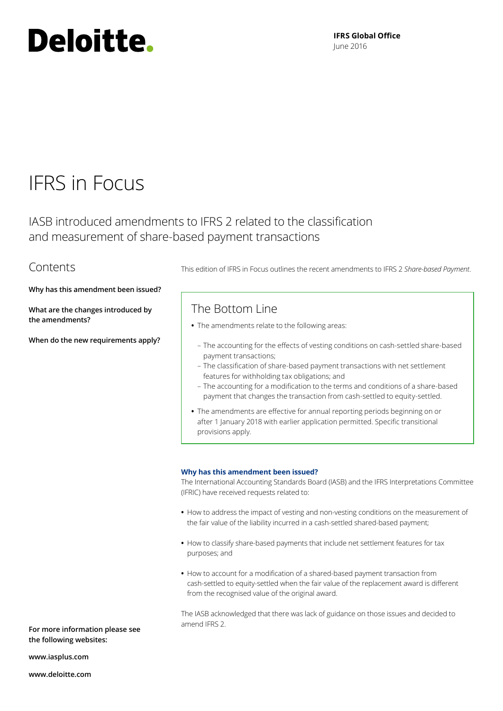# Deloitte.

**IFRS Global Office** June 2016

## IFRS in Focus

IASB introduced amendments to IFRS 2 related to the classification and measurement of share‑based payment transactions

### **Contents**

**Why has this amendment been issued?**

**What are the changes introduced by the amendments?**

**When do the new requirements apply?**

This edition of IFRS in Focus outlines the recent amendments to IFRS 2 *Share‑based Payment*.

### The Bottom Line

- **•** The amendments relate to the following areas:
	- The accounting for the effects of vesting conditions on cash‑settled share‑based payment transactions;
	- The classification of share‑based payment transactions with net settlement features for withholding tax obligations; and
	- The accounting for a modification to the terms and conditions of a share‑based payment that changes the transaction from cash‑settled to equity‑settled.
- **•** The amendments are effective for annual reporting periods beginning on or after 1 January 2018 with earlier application permitted. Specific transitional provisions apply.

#### **Why has this amendment been issued?**

The International Accounting Standards Board (IASB) and the IFRS Interpretations Committee (IFRIC) have received requests related to:

- **•** How to address the impact of vesting and non‑vesting conditions on the measurement of the fair value of the liability incurred in a cash-settled shared-based payment;
- How to classify share-based payments that include net settlement features for tax purposes; and
- **•** How to account for a modification of a shared‑based payment transaction from cash-settled to equity-settled when the fair value of the replacement award is different from the recognised value of the original award.

The IASB acknowledged that there was lack of guidance on those issues and decided to amend IFRS 2.

**For more information please see the following websites:**

**<www.iasplus.com>**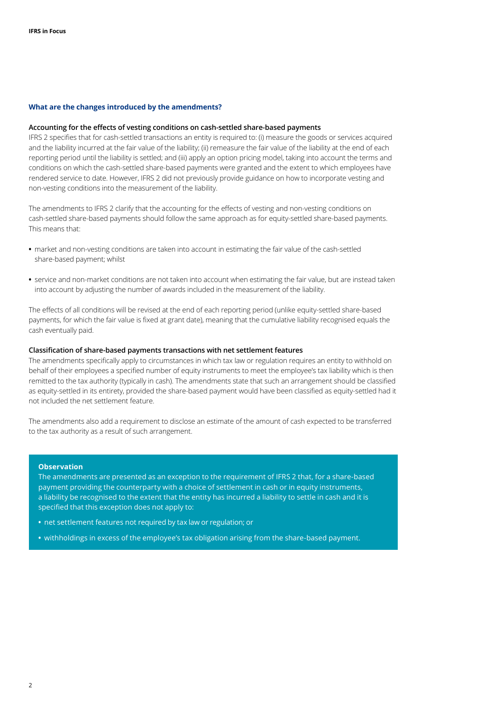#### **What are the changes introduced by the amendments?**

#### **Accounting for the effects of vesting conditions on cash‑settled share‑based payments**

IFRS 2 specifies that for cash‑settled transactions an entity is required to: (i) measure the goods or services acquired and the liability incurred at the fair value of the liability; (ii) remeasure the fair value of the liability at the end of each reporting period until the liability is settled; and (iii) apply an option pricing model, taking into account the terms and conditions on which the cash‑settled share‑based payments were granted and the extent to which employees have rendered service to date. However, IFRS 2 did not previously provide guidance on how to incorporate vesting and non‑vesting conditions into the measurement of the liability.

The amendments to IFRS 2 clarify that the accounting for the effects of vesting and non-vesting conditions on cash-settled share-based payments should follow the same approach as for equity-settled share-based payments. This means that:

- market and non-vesting conditions are taken into account in estimating the fair value of the cash-settled share‑based payment; whilst
- **•** service and non‑market conditions are not taken into account when estimating the fair value, but are instead taken into account by adjusting the number of awards included in the measurement of the liability.

The effects of all conditions will be revised at the end of each reporting period (unlike equity-settled share-based payments, for which the fair value is fixed at grant date), meaning that the cumulative liability recognised equals the cash eventually paid.

#### **Classification of share‑based payments transactions with net settlement features**

The amendments specifically apply to circumstances in which tax law or regulation requires an entity to withhold on behalf of their employees a specified number of equity instruments to meet the employee's tax liability which is then remitted to the tax authority (typically in cash). The amendments state that such an arrangement should be classified as equity-settled in its entirety, provided the share-based payment would have been classified as equity-settled had it not included the net settlement feature.

The amendments also add a requirement to disclose an estimate of the amount of cash expected to be transferred to the tax authority as a result of such arrangement.

#### **Observation**

The amendments are presented as an exception to the requirement of IFRS 2 that, for a share-based payment providing the counterparty with a choice of settlement in cash or in equity instruments, a liability be recognised to the extent that the entity has incurred a liability to settle in cash and it is specified that this exception does not apply to:

- **•** net settlement features not required by tax law or regulation; or
- withholdings in excess of the employee's tax obligation arising from the share-based payment.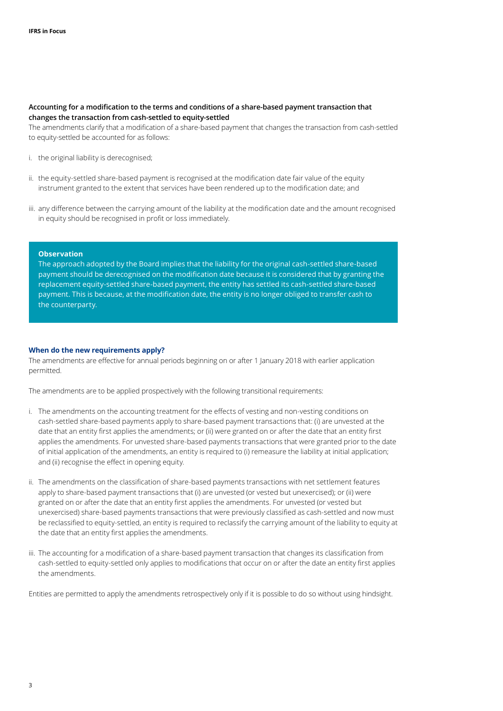#### **Accounting for a modification to the terms and conditions of a share‑based payment transaction that changes the transaction from cash‑settled to equity‑settled**

The amendments clarify that a modification of a share-based payment that changes the transaction from cash-settled to equity-settled be accounted for as follows:

- i. the original liability is derecognised;
- ii. the equity-settled share-based payment is recognised at the modification date fair value of the equity instrument granted to the extent that services have been rendered up to the modification date; and
- iii. any difference between the carrying amount of the liability at the modification date and the amount recognised in equity should be recognised in profit or loss immediately.

#### **Observation**

The approach adopted by the Board implies that the liability for the original cash-settled share-based payment should be derecognised on the modification date because it is considered that by granting the replacement equity‑settled share‐based payment, the entity has settled its cash‐settled share‐based payment. This is because, at the modification date, the entity is no longer obliged to transfer cash to the counterparty.

#### **When do the new requirements apply?**

The amendments are effective for annual periods beginning on or after 1 January 2018 with earlier application permitted.

The amendments are to be applied prospectively with the following transitional requirements:

- i. The amendments on the accounting treatment for the effects of vesting and non-vesting conditions on cash-settled share-based payments apply to share-based payment transactions that: (i) are unvested at the date that an entity first applies the amendments; or (ii) were granted on or after the date that an entity first applies the amendments. For unvested share-based payments transactions that were granted prior to the date of initial application of the amendments, an entity is required to (i) remeasure the liability at initial application; and (ii) recognise the effect in opening equity.
- ii. The amendments on the classification of share-based payments transactions with net settlement features apply to share-based payment transactions that (i) are unvested (or vested but unexercised); or (ii) were granted on or after the date that an entity first applies the amendments. For unvested (or vested but unexercised) share-based payments transactions that were previously classified as cash-settled and now must be reclassified to equity‑settled, an entity is required to reclassify the carrying amount of the liability to equity at the date that an entity first applies the amendments.
- iii. The accounting for a modification of a share-based payment transaction that changes its classification from cash‑settled to equity‑settled only applies to modifications that occur on or after the date an entity first applies the amendments.

Entities are permitted to apply the amendments retrospectively only if it is possible to do so without using hindsight.